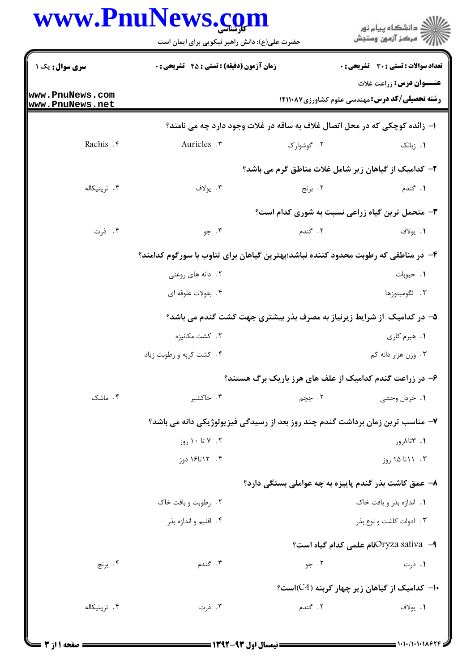| www.PnuNews.com                               |  |
|-----------------------------------------------|--|
| حضرت علی(ع): دانش راهبر نیکویی برای ایمان است |  |

|                                    | www.PnuNews.com<br>حضرت علی(ع): دانش راهبر نیکویی برای ایمان است                   |            | ڪ دانشڪاه پيام نور<br>ر∕ آزمون وسنڊش                                                     |
|------------------------------------|------------------------------------------------------------------------------------|------------|------------------------------------------------------------------------------------------|
| <b>سری سوال :</b> یک ۱             | <b>زمان آزمون (دقیقه) : تستی : 45 گشریحی : 0</b>                                   |            | تعداد سوالات : تستى : 30 ٪ تشريحي : 0                                                    |
| www.PnuNews.com<br>www.PnuNews.net |                                                                                    |            | <b>عنـــوان درس:</b> زراعت غلات<br><b>رشته تحصیلی/کد درس:</b> مهندسی علوم کشاورزی14۱۱۰۸۷ |
|                                    | ا- زائده کوچکی که در محل اتصال غلاف به ساقه در غلات وجود دارد چه می نامند؟         |            |                                                                                          |
| Rachis . ٢                         | Auricles .                                                                         | ۰۲ گوشوارک | ۰۱ زبانک                                                                                 |
|                                    |                                                                                    |            | ۲- کدامیک از گیاهان زیر شامل غلات مناطق گرم می باشد؟                                     |
| ۰۴ تريتيکاله                       | ۰۳ يولاف                                                                           | ۲. برنج    | ۰۱ گندم                                                                                  |
|                                    |                                                                                    |            | <b>۳</b> - متحمل ترین گیاه زراعی نسبت به شوری کدام است؟                                  |
| ۰۴ ذرت                             | ۰۳ جو                                                                              | ۲. گندم    | ٠١. يولاف                                                                                |
|                                    | ۴– در مناطقی که رطوبت محدود کننده نباشد؛بهترین گیاهان برای تناوب با سورگوم کدامند؟ |            |                                                                                          |
|                                    | ۲. دانه های روغنی                                                                  |            | ٠١. حبوبات                                                                               |
|                                    | ۴. بقولات علوفه ای                                                                 |            | ۰۳ لگومينوزها                                                                            |
|                                    | ۵– در کدامیک از شرایط زیرنیاز به مصرف بذر بیشتری جهت کشت گندم می باشد؟             |            |                                                                                          |
|                                    | ۲ . کشت مکانیزه                                                                    |            | ۰۱ هیرم کاری                                                                             |
|                                    | ۰۴ کشت کرپه و رطوبت زياد                                                           |            | ۰۳ وزن هزار دانه کم                                                                      |
|                                    |                                                                                    |            | ۶– در زراعت گندم کدامیک از علف های هرز باریک برگ هستند؟                                  |
| ۰۴ ماشک                            | ۰۳ خاکشیر                                                                          | ۲. چچم     | ۰۱ خردل وحشی                                                                             |
|                                    | ۷– مناسب ترین زمان برداشت گندم چند روز بعد از رسیدگی فیزیولوژیکی دانه می باشد؟     |            |                                                                                          |
|                                    | $;g_1 \rightarrow g_2$ تا ۱۰ روز                                                   |            | ۱. ۳تالمروز                                                                              |
|                                    | ۰۴ ۱۲ تا۱۶ دوز                                                                     |            | ۰۳ ۱۱ تا ۱۵ روز                                                                          |
|                                    |                                                                                    |            | ٨- عمق کاشت بذر گندم پاییزه به چه عواملی بستگی دارد؟                                     |
|                                    | ۰۲ رطوبت و بافت خاک                                                                |            | ۰۱ اندازه بذر و بافت خاک                                                                 |
|                                    | ۰۴ اقلیم و اندازه بذر                                                              |            | ۰۳ ادوات کاشت و نوع بذر                                                                  |
|                                    |                                                                                    |            | ا— Oryza sativaذOryza sativa−۹                                                           |
| ۰۴ برنج                            | ۰۳ گندم                                                                            | ۰۲ جو      | ۰۱ ذرت                                                                                   |
|                                    |                                                                                    |            | ۰۱- کدامیک از گیاهان زیر چهار کربنه (C4)است؟                                             |
| ۰۴ تریتیکاله                       | ۰۳ ذرت                                                                             | ۲. گندم    | ۰۱ يولاف                                                                                 |
|                                    |                                                                                    |            |                                                                                          |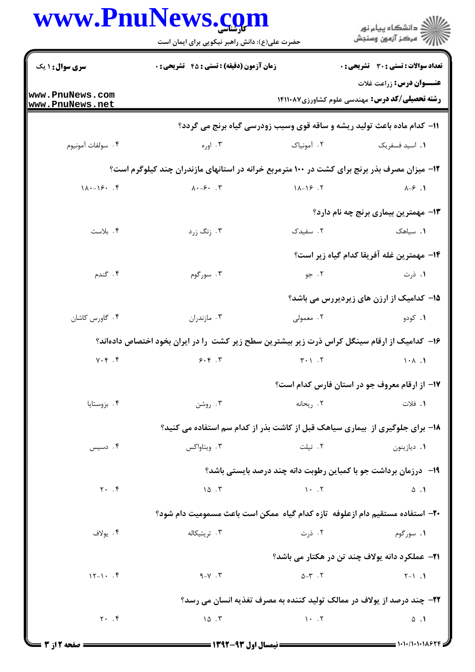|                                    | حضرت علی(ع): دانش راهبر نیکویی برای ایمان است                                                 |                               | رُ⁄ مرڪز آزمون وسنڊش                                                                     |
|------------------------------------|-----------------------------------------------------------------------------------------------|-------------------------------|------------------------------------------------------------------------------------------|
| <b>سری سوال :</b> ۱ یک             | <b>زمان آزمون (دقیقه) : تستی : 45 قشریحی : 0</b>                                              |                               | تعداد سوالات : تستى : 30 ٪ تشريحي : 0                                                    |
| www.PnuNews.com<br>www.PnuNews.net |                                                                                               |                               | <b>عنـــوان درس:</b> زراعت غلات<br><b>رشته تحصیلی/کد درس:</b> مهندسی علوم کشاورزی14۱۱۰۸۷ |
|                                    |                                                                                               |                               | 11- کدام ماده باعث تولید ریشه و ساقه قوی وسبب زودرسی گیاه برنج می گردد؟                  |
| ۴. سولفات آمونيوم                  | ۰۳ اوره                                                                                       | ۰۲ آمونیاک                    | ٠١. اسيد فسفريک                                                                          |
|                                    | ۱۲- میزان مصرف بذر برنج برای کشت در ۱۰۰ مترمربع خرانه در استانهای مازندران چند کیلوگرم است؟   |                               |                                                                                          |
| $1\lambda - 19.$ . $9$             | $\lambda \cdot -\xi \cdot \cdot \cdot \Upsilon$                                               | $11 - 19.7$                   | $\lambda-\hat{z}$ . 1                                                                    |
|                                    |                                                                                               |                               | <b>۱۳</b> - مهمترین بیماری برنج چه نام دارد؟                                             |
| ۰۴ بلاست                           | ۰۳ زنگ زرد                                                                                    | ۰۲ سفیدک                      | ۰۱ سیاهک                                                                                 |
|                                    |                                                                                               |                               | 1۴– مهمترين غله آفريقا كدام گياه زير است؟                                                |
| ۰۴ گندم                            | ۰۳ سورگوم                                                                                     | ۰۲ جو                         | ۰۱ ذرت                                                                                   |
|                                    |                                                                                               |                               | 1۵– کدامیک از ارزن های زیردیررس می باشد؟                                                 |
| ۰۴ گاورس كاشان                     | ۰۳ مازندران                                                                                   | ۰۲ معمولی                     | ۰۱ کودو                                                                                  |
|                                    | ۱۶– کدامیک از ارقام سینگل کراس ذرت زیر بیشترین سطح زیر کشت ً را در ایران بخود اختصاص دادهاند؟ |                               |                                                                                          |
| $Y \cdot Y$ . $Y$                  | 9.9.7                                                                                         | $T - 1$ .                     | $1 - A$ .                                                                                |
|                                    |                                                                                               |                               | ۱۷– از ارقام معروف جو در استان فارس کدام است؟                                            |
| ۰۴ بزوستایا                        | ۰۳ روشن                                                                                       | ۲. , يحانه                    | ۱. فلات                                                                                  |
|                                    | ۱۸- برای جلوگیری از بیماری سیاهک قبل از کاشت بذر از کدام سم استفاده می کنید؟                  |                               |                                                                                          |
| ۰۴ دسیس                            | ۰۳ ویتاواکس                                                                                   | ۲. تیلت                       | ۰۱ دیازینون                                                                              |
|                                    |                                                                                               |                               | ۱۹- درزمان برداشت جو با کمباین رطوبت دانه چند درصد بایستی باشد؟                          |
| $Y \cdot . f$                      | 10.7                                                                                          | $\mathcal{N}$ . T             | $\Delta$ .                                                                               |
|                                    | +۲- استفاده مستقیم دام ازعلوفه تازه کدام گیاه ممکن است باعث مسمومیت دام شود؟                  |                               |                                                                                          |
| ۰۴ يولاف                           | ۰۳ تریتیکاله                                                                                  | ۰۲ ذرت                        | ۰۱ سورگوم                                                                                |
|                                    |                                                                                               |                               | <b>٢١</b> - عملكرد دانه يولاف چند تن در هكتار مي باشد؟                                   |
| $15 - 1.7$                         | $9 - Y$ . ۳                                                                                   | $\Delta-\mathbf{r}$ . T       | $Y-1$ .                                                                                  |
|                                    |                                                                                               |                               | 22- چند درصد از یولاف در ممالک تولید کننده به مصرف تغذیه انسان می رسد؟                   |
| $Y \cdot \cdot f$                  | 10.7                                                                                          | $\mathcal{N}$ . $\mathcal{N}$ | $\Delta$ .                                                                               |